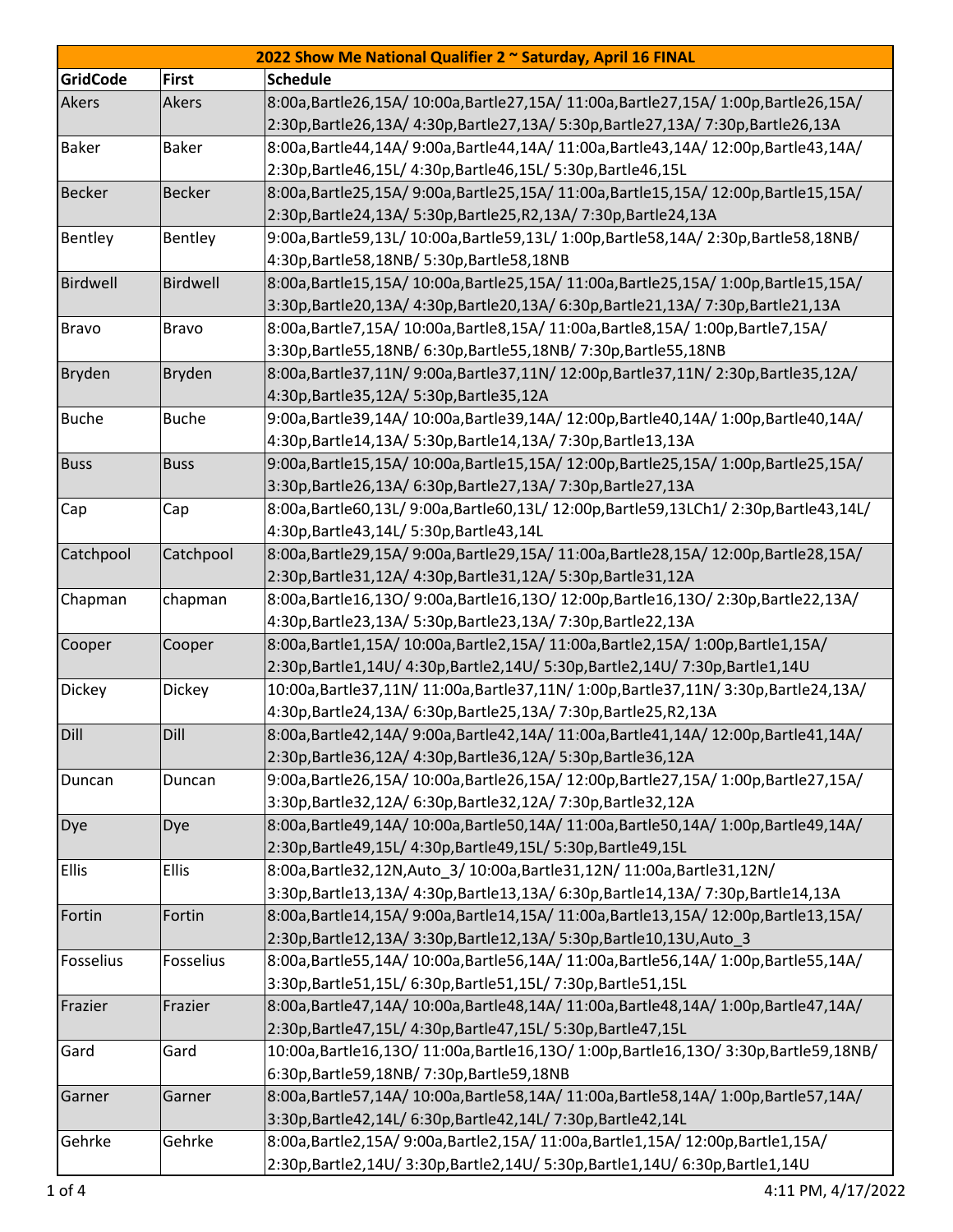| 2022 Show Me National Qualifier 2 ~ Saturday, April 16 FINAL |               |                                                                                   |  |  |
|--------------------------------------------------------------|---------------|-----------------------------------------------------------------------------------|--|--|
| <b>GridCode</b>                                              | <b>First</b>  | <b>Schedule</b>                                                                   |  |  |
| Akers                                                        | Akers         | 8:00a,Bartle26,15A/ 10:00a,Bartle27,15A/ 11:00a,Bartle27,15A/ 1:00p,Bartle26,15A/ |  |  |
|                                                              |               | 2:30p,Bartle26,13A/ 4:30p,Bartle27,13A/ 5:30p,Bartle27,13A/ 7:30p,Bartle26,13A    |  |  |
| <b>Baker</b>                                                 | <b>Baker</b>  | 8:00a,Bartle44,14A/9:00a,Bartle44,14A/11:00a,Bartle43,14A/12:00p,Bartle43,14A/    |  |  |
|                                                              |               | 2:30p, Bartle 46, 15L/ 4:30p, Bartle 46, 15L/ 5:30p, Bartle 46, 15L               |  |  |
| <b>Becker</b>                                                | <b>Becker</b> | 8:00a,Bartle25,15A/9:00a,Bartle25,15A/11:00a,Bartle15,15A/12:00p,Bartle15,15A/    |  |  |
|                                                              |               | 2:30p, Bartle 24, 13A/ 5:30p, Bartle 25, R2, 13A/ 7:30p, Bartle 24, 13A           |  |  |
| Bentley                                                      | Bentley       | 9:00a,Bartle59,13L/10:00a,Bartle59,13L/1:00p,Bartle58,14A/2:30p,Bartle58,18NB/    |  |  |
|                                                              |               | 4:30p, Bartle 58, 18NB/ 5:30p, Bartle 58, 18NB                                    |  |  |
| Birdwell                                                     | Birdwell      | 8:00a,Bartle15,15A/ 10:00a,Bartle25,15A/ 11:00a,Bartle25,15A/ 1:00p,Bartle15,15A/ |  |  |
|                                                              |               | 3:30p,Bartle20,13A/ 4:30p,Bartle20,13A/ 6:30p,Bartle21,13A/ 7:30p,Bartle21,13A    |  |  |
| <b>Bravo</b>                                                 | <b>Bravo</b>  | 8:00a,Bartle7,15A/ 10:00a,Bartle8,15A/ 11:00a,Bartle8,15A/ 1:00p,Bartle7,15A/     |  |  |
|                                                              |               | 3:30p, Bartle 55, 18NB/ 6:30p, Bartle 55, 18NB/ 7:30p, Bartle 55, 18NB            |  |  |
| <b>Bryden</b>                                                | <b>Bryden</b> | 8:00a,Bartle37,11N/9:00a,Bartle37,11N/12:00p,Bartle37,11N/2:30p,Bartle35,12A/     |  |  |
|                                                              |               | 4:30p, Bartle 35, 12A / 5:30p, Bartle 35, 12A                                     |  |  |
| <b>Buche</b>                                                 | <b>Buche</b>  | 9:00a,Bartle39,14A/ 10:00a,Bartle39,14A/ 12:00p,Bartle40,14A/ 1:00p,Bartle40,14A/ |  |  |
|                                                              |               | 4:30p,Bartle14,13A/ 5:30p,Bartle14,13A/ 7:30p,Bartle13,13A                        |  |  |
| <b>Buss</b>                                                  | <b>Buss</b>   | 9:00a,Bartle15,15A/10:00a,Bartle15,15A/12:00p,Bartle25,15A/1:00p,Bartle25,15A/    |  |  |
|                                                              |               | 3:30p,Bartle26,13A/ 6:30p,Bartle27,13A/ 7:30p,Bartle27,13A                        |  |  |
| Cap                                                          | Cap           | 8:00a,Bartle60,13L/9:00a,Bartle60,13L/12:00p,Bartle59,13LCh1/2:30p,Bartle43,14L/  |  |  |
|                                                              |               | 4:30p, Bartle 43, 14L/ 5:30p, Bartle 43, 14L                                      |  |  |
| Catchpool                                                    | Catchpool     | 8:00a,Bartle29,15A/9:00a,Bartle29,15A/11:00a,Bartle28,15A/12:00p,Bartle28,15A/    |  |  |
|                                                              |               | 2:30p, Bartle 31, 12A/ 4:30p, Bartle 31, 12A/ 5:30p, Bartle 31, 12A               |  |  |
| Chapman                                                      | chapman       | 8:00a,Bartle16,13O/9:00a,Bartle16,13O/12:00p,Bartle16,13O/2:30p,Bartle22,13A/     |  |  |
|                                                              |               | 4:30p,Bartle23,13A/ 5:30p,Bartle23,13A/ 7:30p,Bartle22,13A                        |  |  |
| Cooper                                                       | Cooper        | 8:00a,Bartle1,15A/ 10:00a,Bartle2,15A/ 11:00a,Bartle2,15A/ 1:00p,Bartle1,15A/     |  |  |
|                                                              |               | 2:30p,Bartle1,14U/ 4:30p,Bartle2,14U/ 5:30p,Bartle2,14U/ 7:30p,Bartle1,14U        |  |  |
| Dickey                                                       | Dickey        | 10:00a,Bartle37,11N/11:00a,Bartle37,11N/1:00p,Bartle37,11N/3:30p,Bartle24,13A/    |  |  |
|                                                              |               | 4:30p, Bartle 24, 13A/ 6:30p, Bartle 25, 13A/ 7:30p, Bartle 25, R2, 13A           |  |  |
| Dill                                                         | Dill          | 8:00a,Bartle42,14A/9:00a,Bartle42,14A/11:00a,Bartle41,14A/12:00p,Bartle41,14A/    |  |  |
|                                                              |               | 2:30p,Bartle36,12A/ 4:30p,Bartle36,12A/ 5:30p,Bartle36,12A                        |  |  |
| Duncan                                                       | Duncan        | 9:00a,Bartle26,15A/ 10:00a,Bartle26,15A/ 12:00p,Bartle27,15A/ 1:00p,Bartle27,15A/ |  |  |
|                                                              |               | 3:30p,Bartle32,12A/ 6:30p,Bartle32,12A/ 7:30p,Bartle32,12A                        |  |  |
| Dye                                                          | Dye           | 8:00a,Bartle49,14A/ 10:00a,Bartle50,14A/ 11:00a,Bartle50,14A/ 1:00p,Bartle49,14A/ |  |  |
|                                                              |               | 2:30p, Bartle49, 15L/ 4:30p, Bartle49, 15L/ 5:30p, Bartle49, 15L                  |  |  |
| <b>Ellis</b>                                                 | <b>Ellis</b>  | 8:00a,Bartle32,12N,Auto_3/ 10:00a,Bartle31,12N/ 11:00a,Bartle31,12N/              |  |  |
|                                                              |               | 3:30p,Bartle13,13A/ 4:30p,Bartle13,13A/ 6:30p,Bartle14,13A/ 7:30p,Bartle14,13A    |  |  |
| Fortin                                                       | Fortin        | 8:00a,Bartle14,15A/9:00a,Bartle14,15A/11:00a,Bartle13,15A/12:00p,Bartle13,15A/    |  |  |
|                                                              |               | 2:30p, Bartle12, 13A/ 3:30p, Bartle12, 13A/ 5:30p, Bartle10, 13U, Auto_3          |  |  |
| Fosselius                                                    | Fosselius     | 8:00a,Bartle55,14A/ 10:00a,Bartle56,14A/ 11:00a,Bartle56,14A/ 1:00p,Bartle55,14A/ |  |  |
|                                                              |               | 3:30p,Bartle51,15L/ 6:30p,Bartle51,15L/ 7:30p,Bartle51,15L                        |  |  |
| Frazier                                                      | Frazier       | 8:00a,Bartle47,14A/10:00a,Bartle48,14A/11:00a,Bartle48,14A/1:00p,Bartle47,14A/    |  |  |
|                                                              |               | 2:30p, Bartle 47, 15L/ 4:30p, Bartle 47, 15L/ 5:30p, Bartle 47, 15L               |  |  |
| Gard                                                         | Gard          | 10:00a,Bartle16,13O/11:00a,Bartle16,13O/1:00p,Bartle16,13O/3:30p,Bartle59,18NB/   |  |  |
|                                                              |               | 6:30p, Bartle 59, 18NB/7:30p, Bartle 59, 18NB                                     |  |  |
| Garner                                                       | Garner        | 8:00a,Bartle57,14A/ 10:00a,Bartle58,14A/ 11:00a,Bartle58,14A/ 1:00p,Bartle57,14A/ |  |  |
|                                                              |               | 3:30p,Bartle42,14L/ 6:30p,Bartle42,14L/ 7:30p,Bartle42,14L                        |  |  |
| Gehrke                                                       | Gehrke        | 8:00a,Bartle2,15A/ 9:00a,Bartle2,15A/ 11:00a,Bartle1,15A/ 12:00p,Bartle1,15A/     |  |  |
|                                                              |               | 2:30p,Bartle2,14U/ 3:30p,Bartle2,14U/ 5:30p,Bartle1,14U/ 6:30p,Bartle1,14U        |  |  |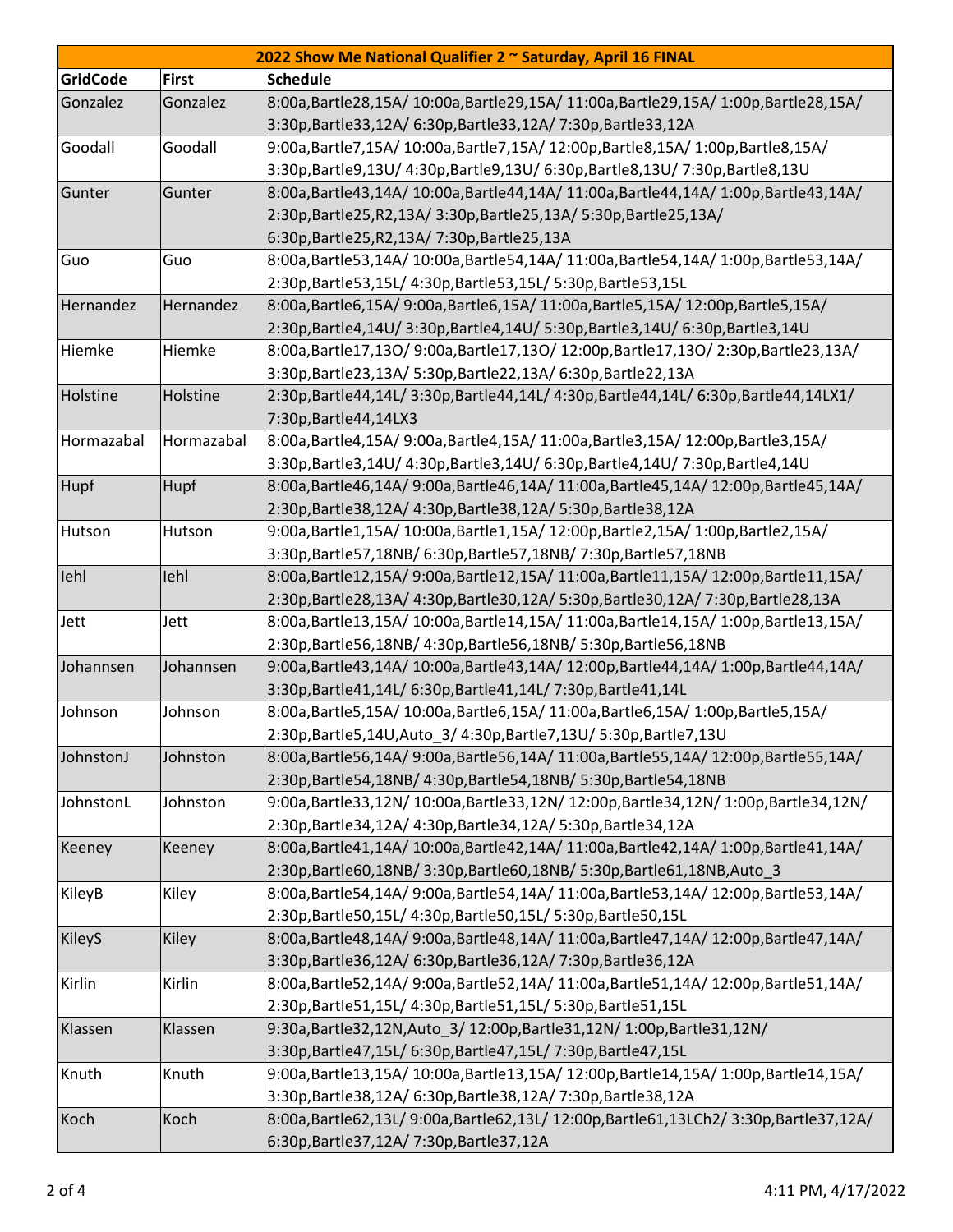| 2022 Show Me National Qualifier 2 ~ Saturday, April 16 FINAL |              |                                                                                   |  |  |  |
|--------------------------------------------------------------|--------------|-----------------------------------------------------------------------------------|--|--|--|
| <b>GridCode</b>                                              | <b>First</b> | <b>Schedule</b>                                                                   |  |  |  |
| Gonzalez                                                     | Gonzalez     | 8:00a,Bartle28,15A/ 10:00a,Bartle29,15A/ 11:00a,Bartle29,15A/ 1:00p,Bartle28,15A/ |  |  |  |
|                                                              |              | 3:30p, Bartle 33, 12A/ 6:30p, Bartle 33, 12A/ 7:30p, Bartle 33, 12A               |  |  |  |
| Goodall                                                      | Goodall      | 9:00a,Bartle7,15A/ 10:00a,Bartle7,15A/ 12:00p,Bartle8,15A/ 1:00p,Bartle8,15A/     |  |  |  |
|                                                              |              | 3:30p,Bartle9,13U/ 4:30p,Bartle9,13U/ 6:30p,Bartle8,13U/ 7:30p,Bartle8,13U        |  |  |  |
| Gunter                                                       | Gunter       | 8:00a,Bartle43,14A/ 10:00a,Bartle44,14A/ 11:00a,Bartle44,14A/ 1:00p,Bartle43,14A/ |  |  |  |
|                                                              |              | 2:30p, Bartle 25, R2, 13A/ 3:30p, Bartle 25, 13A/ 5:30p, Bartle 25, 13A/          |  |  |  |
|                                                              |              | 6:30p, Bartle 25, R2, 13A / 7:30p, Bartle 25, 13A                                 |  |  |  |
| Guo                                                          | Guo          | 8:00a,Bartle53,14A/ 10:00a,Bartle54,14A/ 11:00a,Bartle54,14A/ 1:00p,Bartle53,14A/ |  |  |  |
|                                                              |              | 2:30p, Bartle 53, 15L/ 4:30p, Bartle 53, 15L/ 5:30p, Bartle 53, 15L               |  |  |  |
| Hernandez                                                    | Hernandez    | 8:00a,Bartle6,15A/ 9:00a,Bartle6,15A/ 11:00a,Bartle5,15A/ 12:00p,Bartle5,15A/     |  |  |  |
|                                                              |              | 2:30p,Bartle4,14U/ 3:30p,Bartle4,14U/ 5:30p,Bartle3,14U/ 6:30p,Bartle3,14U        |  |  |  |
| Hiemke                                                       | Hiemke       | 8:00a,Bartle17,13O/9:00a,Bartle17,13O/12:00p,Bartle17,13O/2:30p,Bartle23,13A/     |  |  |  |
|                                                              |              | 3:30p, Bartle 23, 13A/ 5:30p, Bartle 22, 13A/ 6:30p, Bartle 22, 13A               |  |  |  |
| Holstine                                                     | Holstine     | 2:30p,Bartle44,14L/3:30p,Bartle44,14L/4:30p,Bartle44,14L/6:30p,Bartle44,14LX1/    |  |  |  |
|                                                              |              | 7:30p, Bartle 44, 14LX3                                                           |  |  |  |
| Hormazabal                                                   | Hormazabal   | 8:00a,Bartle4,15A/ 9:00a,Bartle4,15A/ 11:00a,Bartle3,15A/ 12:00p,Bartle3,15A/     |  |  |  |
|                                                              |              | 3:30p,Bartle3,14U/ 4:30p,Bartle3,14U/ 6:30p,Bartle4,14U/ 7:30p,Bartle4,14U        |  |  |  |
| <b>Hupf</b>                                                  | Hupf         | 8:00a,Bartle46,14A/9:00a,Bartle46,14A/11:00a,Bartle45,14A/12:00p,Bartle45,14A/    |  |  |  |
|                                                              |              | 2:30p, Bartle 38, 12A/ 4:30p, Bartle 38, 12A/ 5:30p, Bartle 38, 12A               |  |  |  |
| Hutson                                                       | Hutson       | 9:00a,Bartle1,15A/ 10:00a,Bartle1,15A/ 12:00p,Bartle2,15A/ 1:00p,Bartle2,15A/     |  |  |  |
|                                                              |              | 3:30p, Bartle 57, 18NB/ 6:30p, Bartle 57, 18NB/ 7:30p, Bartle 57, 18NB            |  |  |  |
| lehl                                                         | lehl         | 8:00a,Bartle12,15A/9:00a,Bartle12,15A/11:00a,Bartle11,15A/12:00p,Bartle11,15A/    |  |  |  |
|                                                              |              | 2:30p,Bartle28,13A/ 4:30p,Bartle30,12A/ 5:30p,Bartle30,12A/ 7:30p,Bartle28,13A    |  |  |  |
| Jett                                                         | Jett         | 8:00a,Bartle13,15A/ 10:00a,Bartle14,15A/ 11:00a,Bartle14,15A/ 1:00p,Bartle13,15A/ |  |  |  |
|                                                              |              | 2:30p, Bartle 56, 18NB/ 4:30p, Bartle 56, 18NB/ 5:30p, Bartle 56, 18NB            |  |  |  |
| Johannsen                                                    | Johannsen    | 9:00a,Bartle43,14A/ 10:00a,Bartle43,14A/ 12:00p,Bartle44,14A/ 1:00p,Bartle44,14A/ |  |  |  |
|                                                              |              | 3:30p, Bartle41, 14L/ 6:30p, Bartle41, 14L/ 7:30p, Bartle41, 14L                  |  |  |  |
| Johnson                                                      | Johnson      | 8:00a,Bartle5,15A/ 10:00a,Bartle6,15A/ 11:00a,Bartle6,15A/ 1:00p,Bartle5,15A/     |  |  |  |
|                                                              |              | 2:30p, Bartle 5, 14U, Auto_3/4:30p, Bartle 7, 13U/5:30p, Bartle 7, 13U            |  |  |  |
| JohnstonJ                                                    | Johnston     | 8:00a,Bartle56,14A/9:00a,Bartle56,14A/11:00a,Bartle55,14A/12:00p,Bartle55,14A/    |  |  |  |
|                                                              |              | 2:30p, Bartle 54, 18NB/ 4:30p, Bartle 54, 18NB/ 5:30p, Bartle 54, 18NB            |  |  |  |
| JohnstonL                                                    | Johnston     | 9:00a,Bartle33,12N/10:00a,Bartle33,12N/12:00p,Bartle34,12N/1:00p,Bartle34,12N/    |  |  |  |
|                                                              |              | 2:30p, Bartle 34, 12A/ 4:30p, Bartle 34, 12A/ 5:30p, Bartle 34, 12A               |  |  |  |
| Keeney                                                       | Keeney       | 8:00a,Bartle41,14A/10:00a,Bartle42,14A/11:00a,Bartle42,14A/1:00p,Bartle41,14A/    |  |  |  |
|                                                              |              | 2:30p, Bartle60, 18NB/ 3:30p, Bartle60, 18NB/ 5:30p, Bartle61, 18NB, Auto 3       |  |  |  |
| KileyB                                                       | Kiley        | 8:00a,Bartle54,14A/9:00a,Bartle54,14A/11:00a,Bartle53,14A/12:00p,Bartle53,14A/    |  |  |  |
|                                                              |              | 2:30p,Bartle50,15L/ 4:30p,Bartle50,15L/ 5:30p,Bartle50,15L                        |  |  |  |
| <b>KileyS</b>                                                | Kiley        | 8:00a,Bartle48,14A/9:00a,Bartle48,14A/11:00a,Bartle47,14A/12:00p,Bartle47,14A/    |  |  |  |
|                                                              |              | 3:30p, Bartle 36, 12A/ 6:30p, Bartle 36, 12A/ 7:30p, Bartle 36, 12A               |  |  |  |
| Kirlin                                                       | Kirlin       | 8:00a,Bartle52,14A/ 9:00a,Bartle52,14A/ 11:00a,Bartle51,14A/ 12:00p,Bartle51,14A/ |  |  |  |
|                                                              |              | 2:30p,Bartle51,15L/ 4:30p,Bartle51,15L/ 5:30p,Bartle51,15L                        |  |  |  |
| Klassen                                                      | Klassen      | 9:30a, Bartle 32, 12N, Auto_3/ 12:00p, Bartle 31, 12N/ 1:00p, Bartle 31, 12N/     |  |  |  |
|                                                              |              | 3:30p,Bartle47,15L/ 6:30p,Bartle47,15L/ 7:30p,Bartle47,15L                        |  |  |  |
| Knuth                                                        | Knuth        | 9:00a,Bartle13,15A/10:00a,Bartle13,15A/12:00p,Bartle14,15A/1:00p,Bartle14,15A/    |  |  |  |
|                                                              |              | 3:30p, Bartle 38, 12A/ 6:30p, Bartle 38, 12A/ 7:30p, Bartle 38, 12A               |  |  |  |
| Koch                                                         | Koch         | 8:00a,Bartle62,13L/9:00a,Bartle62,13L/12:00p,Bartle61,13LCh2/3:30p,Bartle37,12A/  |  |  |  |
|                                                              |              | 6:30p, Bartle 37, 12A / 7:30p, Bartle 37, 12A                                     |  |  |  |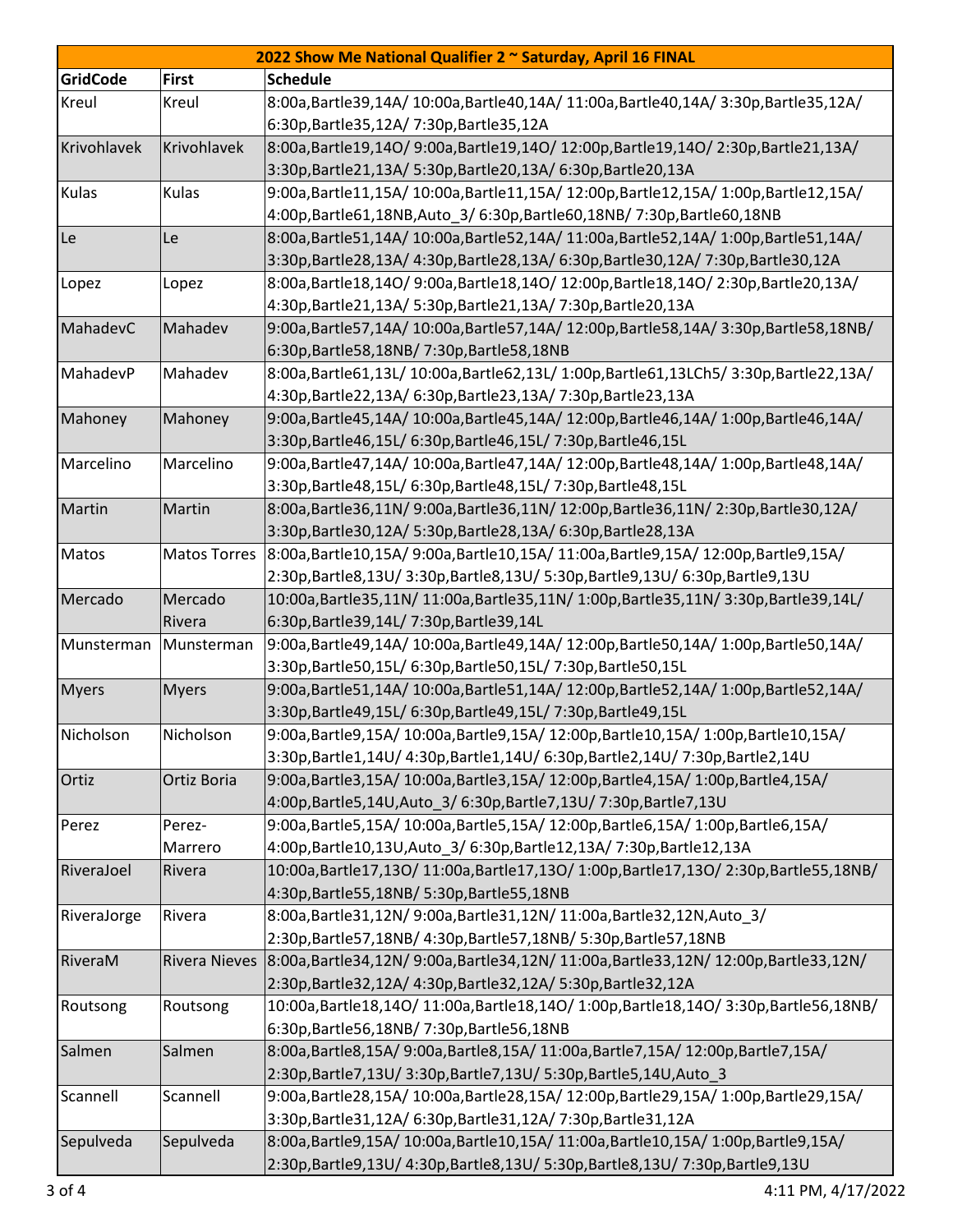| 2022 Show Me National Qualifier 2 ~ Saturday, April 16 FINAL |                      |                                                                                     |  |  |
|--------------------------------------------------------------|----------------------|-------------------------------------------------------------------------------------|--|--|
| <b>GridCode</b>                                              | <b>First</b>         | <b>Schedule</b>                                                                     |  |  |
| Kreul                                                        | Kreul                | 8:00a,Bartle39,14A/10:00a,Bartle40,14A/11:00a,Bartle40,14A/3:30p,Bartle35,12A/      |  |  |
|                                                              |                      | 6:30p, Bartle 35, 12A / 7:30p, Bartle 35, 12A                                       |  |  |
| Krivohlavek                                                  | Krivohlavek          | 8:00a,Bartle19,14O/9:00a,Bartle19,14O/12:00p,Bartle19,14O/2:30p,Bartle21,13A/       |  |  |
|                                                              |                      | 3:30p,Bartle21,13A/ 5:30p,Bartle20,13A/ 6:30p,Bartle20,13A                          |  |  |
| Kulas                                                        | Kulas                | 9:00a,Bartle11,15A/10:00a,Bartle11,15A/12:00p,Bartle12,15A/1:00p,Bartle12,15A/      |  |  |
|                                                              |                      | 4:00p,Bartle61,18NB,Auto_3/ 6:30p,Bartle60,18NB/ 7:30p,Bartle60,18NB                |  |  |
| Le                                                           | Le                   | 8:00a,Bartle51,14A/ 10:00a,Bartle52,14A/ 11:00a,Bartle52,14A/ 1:00p,Bartle51,14A/   |  |  |
|                                                              |                      | 3:30p,Bartle28,13A/ 4:30p,Bartle28,13A/ 6:30p,Bartle30,12A/ 7:30p,Bartle30,12A      |  |  |
| Lopez                                                        | Lopez                | 8:00a,Bartle18,14O/9:00a,Bartle18,14O/12:00p,Bartle18,14O/2:30p,Bartle20,13A/       |  |  |
|                                                              |                      | 4:30p,Bartle21,13A/ 5:30p,Bartle21,13A/ 7:30p,Bartle20,13A                          |  |  |
| MahadevC                                                     | Mahadev              | 9:00a,Bartle57,14A/10:00a,Bartle57,14A/12:00p,Bartle58,14A/3:30p,Bartle58,18NB/     |  |  |
|                                                              |                      | 6:30p, Bartle 58, 18NB/ 7:30p, Bartle 58, 18NB                                      |  |  |
| MahadevP                                                     | Mahadev              | 8:00a,Bartle61,13L/ 10:00a,Bartle62,13L/ 1:00p,Bartle61,13LCh5/ 3:30p,Bartle22,13A/ |  |  |
|                                                              |                      | 4:30p,Bartle22,13A/ 6:30p,Bartle23,13A/ 7:30p,Bartle23,13A                          |  |  |
| Mahoney                                                      | Mahoney              | 9:00a,Bartle45,14A/ 10:00a,Bartle45,14A/ 12:00p,Bartle46,14A/ 1:00p,Bartle46,14A/   |  |  |
|                                                              |                      | 3:30p,Bartle46,15L/ 6:30p,Bartle46,15L/ 7:30p,Bartle46,15L                          |  |  |
| Marcelino                                                    | Marcelino            | 9:00a,Bartle47,14A/ 10:00a,Bartle47,14A/ 12:00p,Bartle48,14A/ 1:00p,Bartle48,14A/   |  |  |
|                                                              |                      | 3:30p, Bartle 48, 15L/ 6:30p, Bartle 48, 15L/ 7:30p, Bartle 48, 15L                 |  |  |
| Martin                                                       | Martin               | 8:00a,Bartle36,11N/9:00a,Bartle36,11N/12:00p,Bartle36,11N/2:30p,Bartle30,12A/       |  |  |
|                                                              |                      | 3:30p, Bartle 30, 12A / 5:30p, Bartle 28, 13A / 6:30p, Bartle 28, 13A               |  |  |
| Matos                                                        | <b>Matos Torres</b>  | 8:00a,Bartle10,15A/ 9:00a,Bartle10,15A/ 11:00a,Bartle9,15A/ 12:00p,Bartle9,15A/     |  |  |
|                                                              |                      | 2:30p,Bartle8,13U/ 3:30p,Bartle8,13U/ 5:30p,Bartle9,13U/ 6:30p,Bartle9,13U          |  |  |
| Mercado                                                      | Mercado              | 10:00a,Bartle35,11N/11:00a,Bartle35,11N/1:00p,Bartle35,11N/3:30p,Bartle39,14L/      |  |  |
|                                                              | Rivera               | 6:30p, Bartle 39, 14L/ 7:30p, Bartle 39, 14L                                        |  |  |
| Munsterman                                                   | Munsterman           | 9:00a,Bartle49,14A/ 10:00a,Bartle49,14A/ 12:00p,Bartle50,14A/ 1:00p,Bartle50,14A/   |  |  |
|                                                              |                      | 3:30p,Bartle50,15L/ 6:30p,Bartle50,15L/ 7:30p,Bartle50,15L                          |  |  |
| <b>Myers</b>                                                 | <b>Myers</b>         | 9:00a,Bartle51,14A/10:00a,Bartle51,14A/12:00p,Bartle52,14A/1:00p,Bartle52,14A/      |  |  |
|                                                              |                      | 3:30p,Bartle49,15L/ 6:30p,Bartle49,15L/ 7:30p,Bartle49,15L                          |  |  |
| Nicholson                                                    | Nicholson            | 9:00a,Bartle9,15A/ 10:00a,Bartle9,15A/ 12:00p,Bartle10,15A/ 1:00p,Bartle10,15A/     |  |  |
|                                                              |                      | 3:30p,Bartle1,14U/ 4:30p,Bartle1,14U/ 6:30p,Bartle2,14U/ 7:30p,Bartle2,14U          |  |  |
| Ortiz                                                        | Ortiz Boria          | 9:00a,Bartle3,15A/ 10:00a,Bartle3,15A/ 12:00p,Bartle4,15A/ 1:00p,Bartle4,15A/       |  |  |
|                                                              |                      | 4:00p, Bartle 5, 14U, Auto_3/ 6:30p, Bartle 7, 13U/ 7:30p, Bartle 7, 13U            |  |  |
| Perez                                                        | Perez-               | 9:00a,Bartle5,15A/ 10:00a,Bartle5,15A/ 12:00p,Bartle6,15A/ 1:00p,Bartle6,15A/       |  |  |
|                                                              | Marrero              | 4:00p, Bartle10, 13U, Auto_3/ 6:30p, Bartle12, 13A / 7:30p, Bartle12, 13A           |  |  |
| RiveraJoel                                                   | Rivera               | 10:00a,Bartle17,13O/11:00a,Bartle17,13O/1:00p,Bartle17,13O/2:30p,Bartle55,18NB/     |  |  |
|                                                              |                      | 4:30p, Bartle 55, 18NB/ 5:30p, Bartle 55, 18NB                                      |  |  |
| RiveraJorge                                                  | Rivera               | 8:00a,Bartle31,12N/9:00a,Bartle31,12N/11:00a,Bartle32,12N,Auto_3/                   |  |  |
|                                                              |                      | 2:30p, Bartle 57, 18NB/ 4:30p, Bartle 57, 18NB/ 5:30p, Bartle 57, 18NB              |  |  |
| RiveraM                                                      | <b>Rivera Nieves</b> | 8:00a,Bartle34,12N/9:00a,Bartle34,12N/11:00a,Bartle33,12N/12:00p,Bartle33,12N/      |  |  |
|                                                              |                      | 2:30p,Bartle32,12A/ 4:30p,Bartle32,12A/ 5:30p,Bartle32,12A                          |  |  |
| Routsong                                                     | Routsong             | 10:00a,Bartle18,14O/11:00a,Bartle18,14O/1:00p,Bartle18,14O/3:30p,Bartle56,18NB/     |  |  |
|                                                              |                      | 6:30p, Bartle 56, 18NB/ 7:30p, Bartle 56, 18NB                                      |  |  |
| Salmen                                                       | Salmen               | 8:00a,Bartle8,15A/ 9:00a,Bartle8,15A/ 11:00a,Bartle7,15A/ 12:00p,Bartle7,15A/       |  |  |
|                                                              |                      | 2:30p, Bartle 7, 13U/ 3:30p, Bartle 7, 13U/ 5:30p, Bartle 5, 14U, Auto_3            |  |  |
| Scannell                                                     | Scannell             | 9:00a,Bartle28,15A/ 10:00a,Bartle28,15A/ 12:00p,Bartle29,15A/ 1:00p,Bartle29,15A/   |  |  |
|                                                              |                      | 3:30p,Bartle31,12A/ 6:30p,Bartle31,12A/ 7:30p,Bartle31,12A                          |  |  |
| Sepulveda                                                    | Sepulveda            | 8:00a,Bartle9,15A/ 10:00a,Bartle10,15A/ 11:00a,Bartle10,15A/ 1:00p,Bartle9,15A/     |  |  |
|                                                              |                      | 2:30p,Bartle9,13U/ 4:30p,Bartle8,13U/ 5:30p,Bartle8,13U/ 7:30p,Bartle9,13U          |  |  |